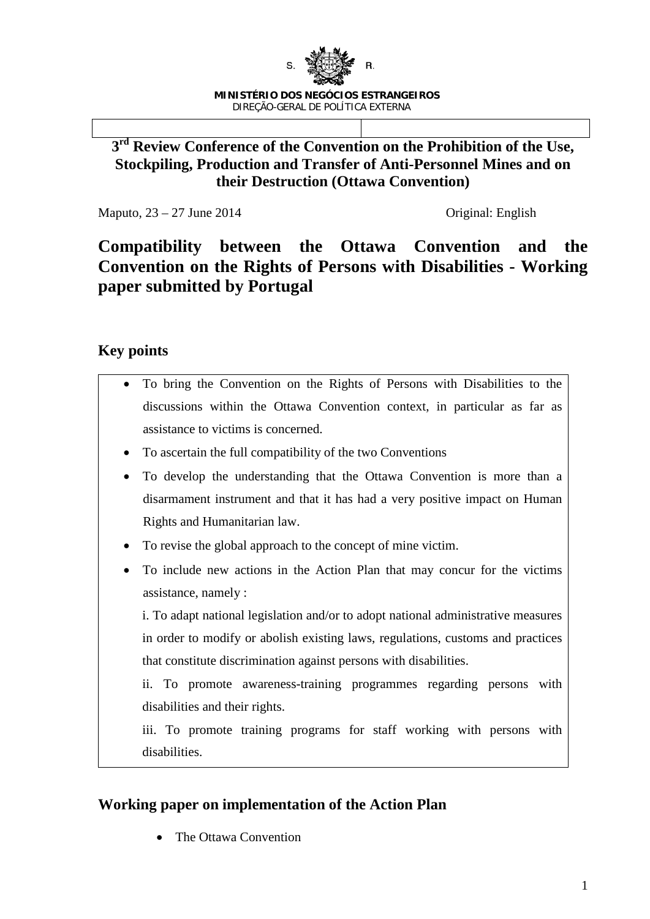

### **3rd Review Conference of the Convention on the Prohibition of the Use, Stockpiling, Production and Transfer of Anti-Personnel Mines and on their Destruction (Ottawa Convention)**

Maputo, 23 – 27 June 2014 Criginal: English

# **Compatibility between the Ottawa Convention and the Convention on the Rights of Persons with Disabilities - Working paper submitted by Portugal**

## **Key points**

| To bring the Convention on the Rights of Persons with Disabilities to the         |
|-----------------------------------------------------------------------------------|
| discussions within the Ottawa Convention context, in particular as far as         |
| assistance to victims is concerned.                                               |
| To ascertain the full compatibility of the two Conventions<br>٠                   |
| To develop the understanding that the Ottawa Convention is more than a            |
| disarmament instrument and that it has had a very positive impact on Human        |
| Rights and Humanitarian law.                                                      |
| To revise the global approach to the concept of mine victim.<br>٠                 |
| To include new actions in the Action Plan that may concur for the victims         |
| assistance, namely :                                                              |
| i. To adapt national legislation and/or to adopt national administrative measures |
| in order to modify or abolish existing laws, regulations, customs and practices   |
| that constitute discrimination against persons with disabilities.                 |
| ii. To promote awareness-training programmes regarding persons with               |
| disabilities and their rights.                                                    |
| iii. To promote training programs for staff working with persons with             |
| disabilities.                                                                     |

## **Working paper on implementation of the Action Plan**

• The Ottawa Convention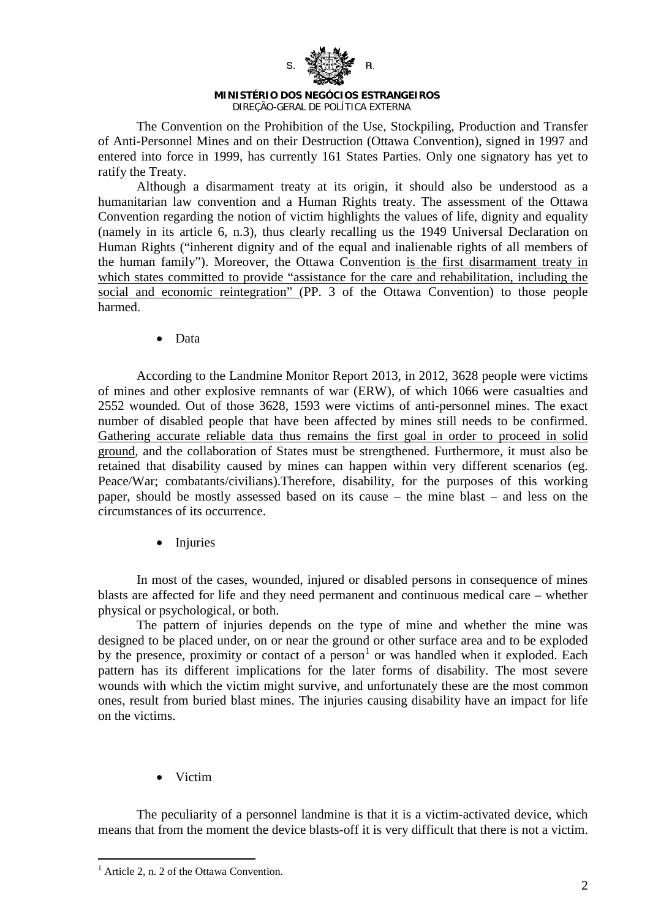

#### **MINISTÉRIO DOS NEGÓCIOS ESTRANGEIROS** DIREÇÃO-GERAL DE POLÍTICA EXTERNA

The Convention on the Prohibition of the Use, Stockpiling, Production and Transfer of Anti-Personnel Mines and on their Destruction (Ottawa Convention), signed in 1997 and entered into force in 1999, has currently 161 States Parties. Only one signatory has yet to ratify the Treaty.

Although a disarmament treaty at its origin, it should also be understood as a humanitarian law convention and a Human Rights treaty. The assessment of the Ottawa Convention regarding the notion of victim highlights the values of life, dignity and equality (namely in its article 6, n.3), thus clearly recalling us the 1949 Universal Declaration on Human Rights ("inherent dignity and of the equal and inalienable rights of all members of the human family"). Moreover, the Ottawa Convention is the first disarmament treaty in which states committed to provide "assistance for the care and rehabilitation, including the social and economic reintegration" (PP. 3 of the Ottawa Convention) to those people harmed.

• Data

According to the Landmine Monitor Report 2013, in 2012, 3628 people were victims of mines and other explosive remnants of war (ERW), of which 1066 were casualties and 2552 wounded. Out of those 3628, 1593 were victims of anti-personnel mines. The exact number of disabled people that have been affected by mines still needs to be confirmed. Gathering accurate reliable data thus remains the first goal in order to proceed in solid ground, and the collaboration of States must be strengthened. Furthermore, it must also be retained that disability caused by mines can happen within very different scenarios (eg. Peace/War; combatants/civilians).Therefore, disability, for the purposes of this working paper, should be mostly assessed based on its cause – the mine blast – and less on the circumstances of its occurrence.

**Injuries** 

In most of the cases, wounded, injured or disabled persons in consequence of mines blasts are affected for life and they need permanent and continuous medical care – whether physical or psychological, or both.

The pattern of injuries depends on the type of mine and whether the mine was designed to be placed under, on or near the ground or other surface area and to be exploded by the presence, proximity or contact of a person<sup>[1](#page-1-0)</sup> or was handled when it exploded. Each pattern has its different implications for the later forms of disability. The most severe wounds with which the victim might survive, and unfortunately these are the most common ones, result from buried blast mines. The injuries causing disability have an impact for life on the victims.

• Victim

The peculiarity of a personnel landmine is that it is a victim-activated device, which means that from the moment the device blasts-off it is very difficult that there is not a victim.

<span id="page-1-0"></span> $<sup>1</sup>$  Article 2, n. 2 of the Ottawa Convention.</sup>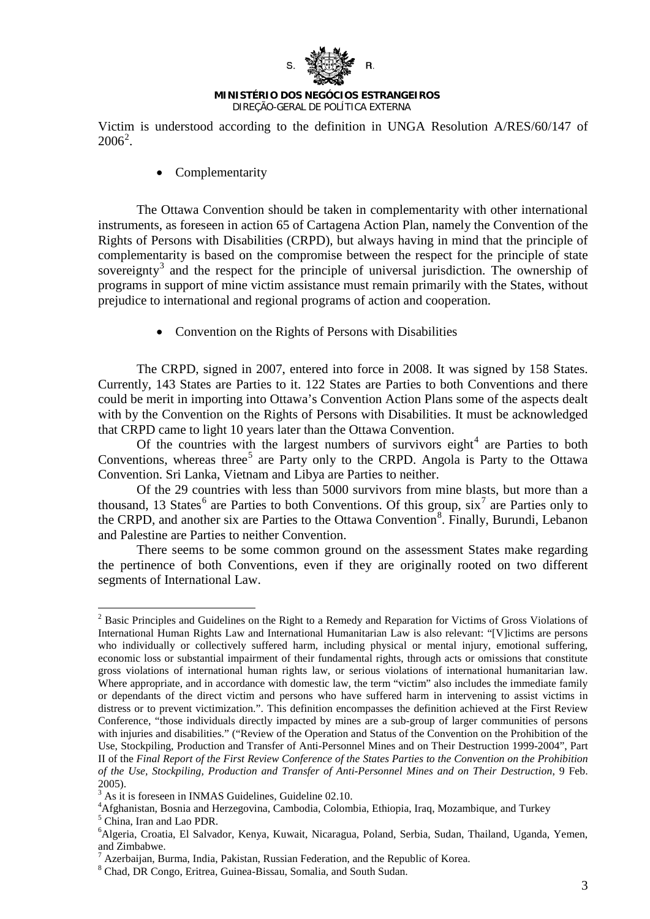

Victim is understood according to the definition in UNGA Resolution A/RES/60/147 of  $2006^2$  $2006^2$ .

• Complementarity

The Ottawa Convention should be taken in complementarity with other international instruments, as foreseen in action 65 of Cartagena Action Plan, namely the Convention of the Rights of Persons with Disabilities (CRPD), but always having in mind that the principle of complementarity is based on the compromise between the respect for the principle of state sovereignty<sup>[3](#page-2-1)</sup> and the respect for the principle of universal jurisdiction. The ownership of programs in support of mine victim assistance must remain primarily with the States, without prejudice to international and regional programs of action and cooperation.

• Convention on the Rights of Persons with Disabilities

The CRPD, signed in 2007, entered into force in 2008. It was signed by 158 States. Currently, 143 States are Parties to it. 122 States are Parties to both Conventions and there could be merit in importing into Ottawa's Convention Action Plans some of the aspects dealt with by the Convention on the Rights of Persons with Disabilities. It must be acknowledged that CRPD came to light 10 years later than the Ottawa Convention.

Of the countries with the largest numbers of survivors eight<sup>[4](#page-2-2)</sup> are Parties to both Conventions, whereas three<sup>[5](#page-2-3)</sup> are Party only to the CRPD. Angola is Party to the Ottawa Convention. Sri Lanka, Vietnam and Libya are Parties to neither.

Of the 29 countries with less than 5000 survivors from mine blasts, but more than a thousand, 13 States<sup>[6](#page-2-4)</sup> are Parties to both Conventions. Of this group,  $\sin^7$  $\sin^7$  are Parties only to the CRPD, and another six are Parties to the Ottawa Convention<sup>[8](#page-2-6)</sup>. Finally, Burundi, Lebanon and Palestine are Parties to neither Convention.

There seems to be some common ground on the assessment States make regarding the pertinence of both Conventions, even if they are originally rooted on two different segments of International Law.

<span id="page-2-0"></span><sup>&</sup>lt;sup>2</sup> Basic Principles and Guidelines on the Right to a Remedy and Reparation for Victims of Gross Violations of International Human Rights Law and International Humanitarian Law is also relevant: "[V]ictims are persons who individually or collectively suffered harm, including physical or mental injury, emotional suffering, economic loss or substantial impairment of their fundamental rights, through acts or omissions that constitute gross violations of international human rights law, or serious violations of international humanitarian law. Where appropriate, and in accordance with domestic law, the term "victim" also includes the immediate family or dependants of the direct victim and persons who have suffered harm in intervening to assist victims in distress or to prevent victimization.". This definition encompasses the definition achieved at the First Review Conference, "those individuals directly impacted by mines are a sub-group of larger communities of persons with injuries and disabilities." ("Review of the Operation and Status of the Convention on the Prohibition of the Use, Stockpiling, Production and Transfer of Anti-Personnel Mines and on Their Destruction 1999-2004", Part II of the *Final Report of the First Review Conference of the States Parties to the Convention on the Prohibition of the Use, Stockpiling, Production and Transfer of Anti-Personnel Mines and on Their Destruction*, 9 Feb. 2005).

<span id="page-2-1"></span> $3 \text{ As it is for the same number of freedom.}$  As it is foreseen in INMAS Guidelines, Guideline 02.10.

Afghanistan, Bosnia and Herzegovina, Cambodia, Colombia, Ethiopia, Iraq, Mozambique, and Turkey

<span id="page-2-3"></span><span id="page-2-2"></span> $5 \overline{\text{China}}$ , Iran and Lao PDR.

<span id="page-2-4"></span><sup>6</sup> Algeria, Croatia, El Salvador, Kenya, Kuwait, Nicaragua, Poland, Serbia, Sudan, Thailand, Uganda, Yemen, and Zimbabwe.

<sup>7</sup> Azerbaijan, Burma, India, Pakistan, Russian Federation, and the Republic of Korea.

<span id="page-2-6"></span><span id="page-2-5"></span><sup>8</sup> Chad, DR Congo, Eritrea, Guinea-Bissau, Somalia, and South Sudan.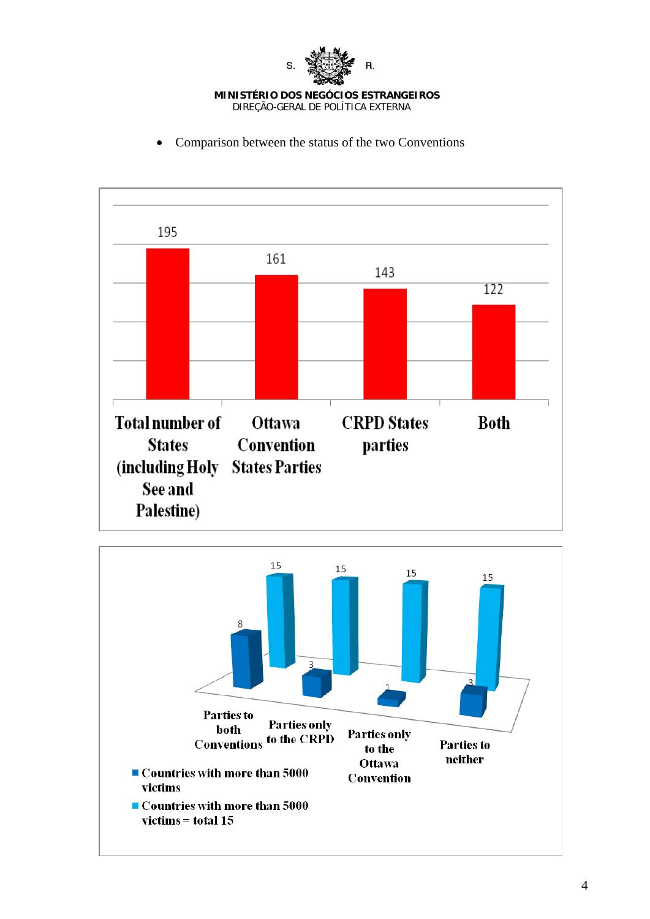

- 195 161 143 122 **Total number of CRPD** States Ottawa **Both** Convention parties **States** (including Holy States Parties See and Palestine)
- Comparison between the status of the two Conventions

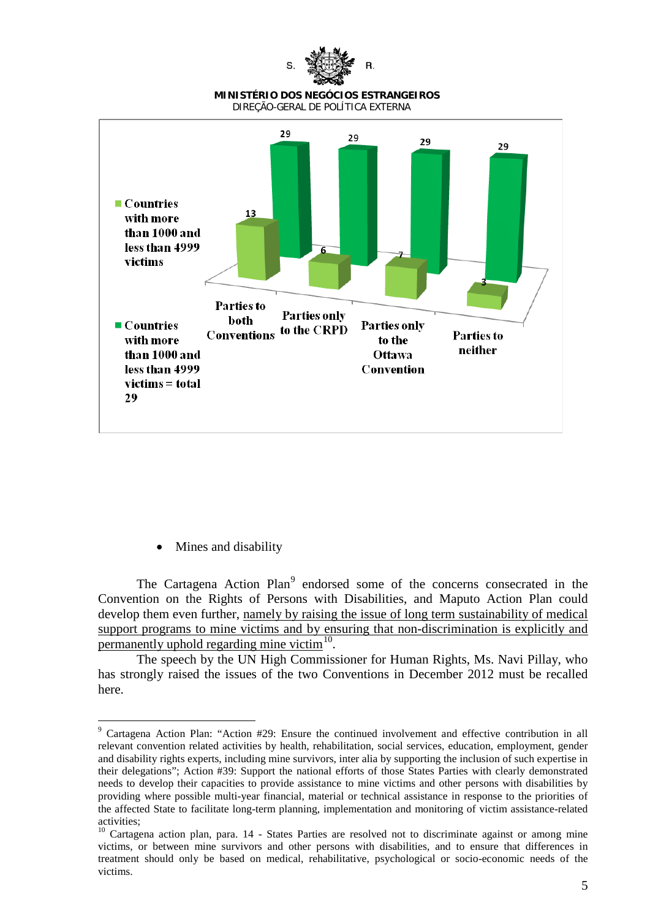

• Mines and disability

The Cartagena Action Plan<sup>[9](#page-4-0)</sup> endorsed some of the concerns consecrated in the Convention on the Rights of Persons with Disabilities, and Maputo Action Plan could develop them even further, namely by raising the issue of long term sustainability of medical support programs to mine victims and by ensuring that non-discrimination is explicitly and permanently uphold regarding mine victim $10$ .

The speech by the UN High Commissioner for Human Rights, Ms. Navi Pillay, who has strongly raised the issues of the two Conventions in December 2012 must be recalled here.

<span id="page-4-0"></span> <sup>9</sup> Cartagena Action Plan: "Action #29: Ensure the continued involvement and effective contribution in all relevant convention related activities by health, rehabilitation, social services, education, employment, gender and disability rights experts, including mine survivors, inter alia by supporting the inclusion of such expertise in their delegations"; Action #39: Support the national efforts of those States Parties with clearly demonstrated needs to develop their capacities to provide assistance to mine victims and other persons with disabilities by providing where possible multi-year financial, material or technical assistance in response to the priorities of the affected State to facilitate long-term planning, implementation and monitoring of victim assistance-related activities;

<span id="page-4-1"></span><sup>&</sup>lt;sup>10</sup> Cartagena action plan, para. 14 - States Parties are resolved not to discriminate against or among mine victims, or between mine survivors and other persons with disabilities, and to ensure that differences in treatment should only be based on medical, rehabilitative, psychological or socio-economic needs of the victims.